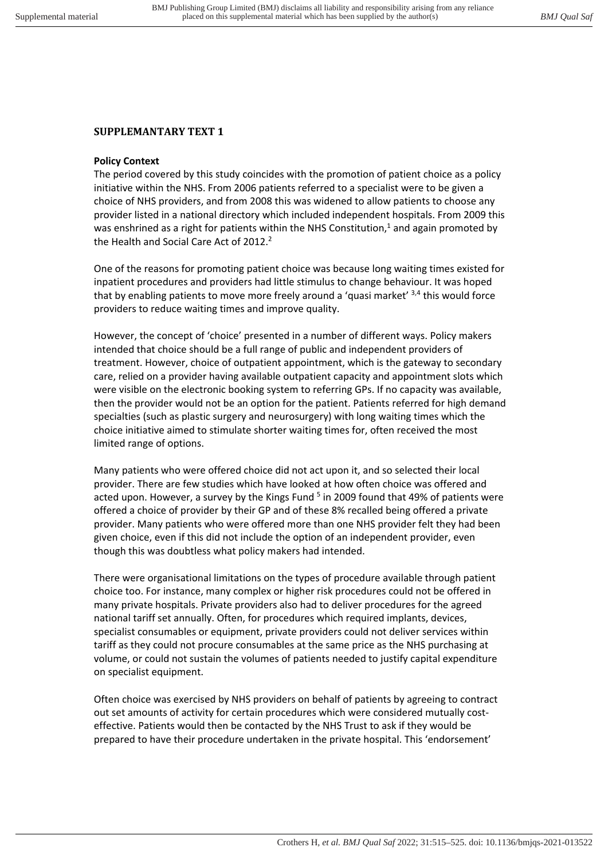## **SUPPLEMANTARY TEXT 1**

## **Policy Context**

The period covered by this study coincides with the promotion of patient choice as a policy initiative within the NHS. From 2006 patients referred to a specialist were to be given a choice of NHS providers, and from 2008 this was widened to allow patients to choose any provider listed in a national directory which included independent hospitals. From 2009 this was enshrined as a right for patients within the NHS Constitution, $<sup>1</sup>$  and again promoted by</sup> the Health and Social Care Act of 2012.<sup>2</sup>

One of the reasons for promoting patient choice was because long waiting times existed for inpatient procedures and providers had little stimulus to change behaviour. It was hoped that by enabling patients to move more freely around a 'quasi market' <sup>3,4</sup> this would force providers to reduce waiting times and improve quality.

However, the concept of 'choice' presented in a number of different ways. Policy makers intended that choice should be a full range of public and independent providers of treatment. However, choice of outpatient appointment, which is the gateway to secondary care, relied on a provider having available outpatient capacity and appointment slots which were visible on the electronic booking system to referring GPs. If no capacity was available, then the provider would not be an option for the patient. Patients referred for high demand specialties (such as plastic surgery and neurosurgery) with long waiting times which the choice initiative aimed to stimulate shorter waiting times for, often received the most limited range of options.

Many patients who were offered choice did not act upon it, and so selected their local provider. There are few studies which have looked at how often choice was offered and acted upon. However, a survey by the Kings Fund <sup>5</sup> in 2009 found that 49% of patients were offered a choice of provider by their GP and of these 8% recalled being offered a private provider. Many patients who were offered more than one NHS provider felt they had been given choice, even if this did not include the option of an independent provider, even though this was doubtless what policy makers had intended.

There were organisational limitations on the types of procedure available through patient choice too. For instance, many complex or higher risk procedures could not be offered in many private hospitals. Private providers also had to deliver procedures for the agreed national tariff set annually. Often, for procedures which required implants, devices, specialist consumables or equipment, private providers could not deliver services within tariff as they could not procure consumables at the same price as the NHS purchasing at volume, or could not sustain the volumes of patients needed to justify capital expenditure on specialist equipment.

Often choice was exercised by NHS providers on behalf of patients by agreeing to contract out set amounts of activity for certain procedures which were considered mutually costeffective. Patients would then be contacted by the NHS Trust to ask if they would be prepared to have their procedure undertaken in the private hospital. This 'endorsement'